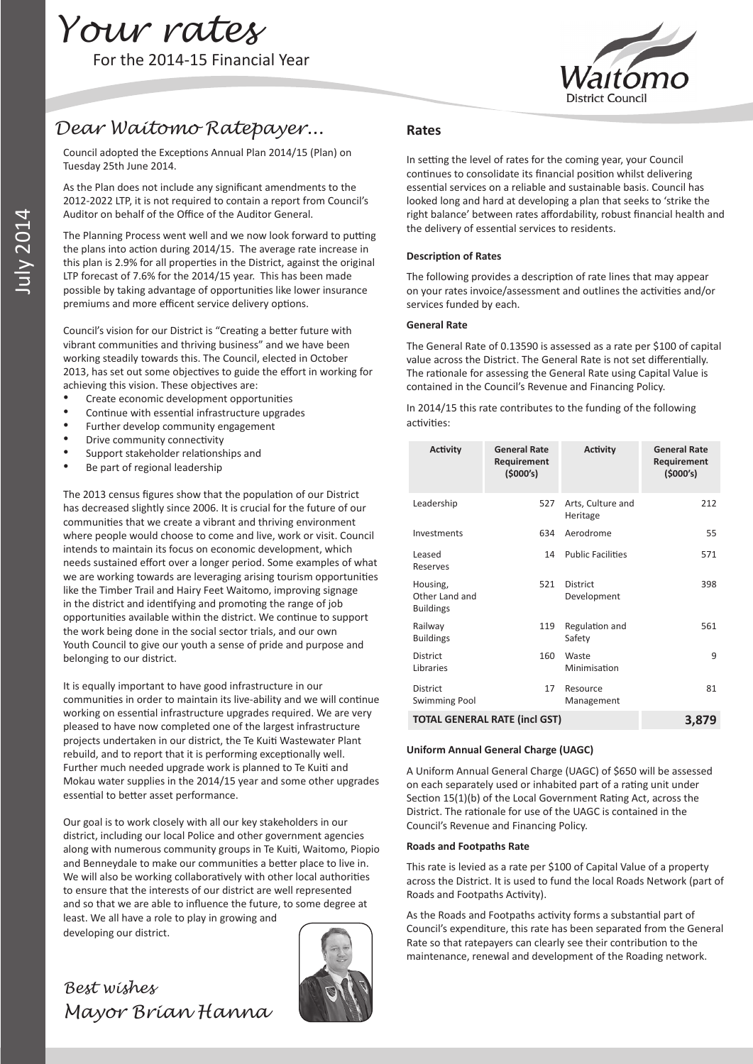

# *Dear Waitomo Ratepayer...*

Council adopted the Exceptions Annual Plan 2014/15 (Plan) on Tuesday 25th June 2014.

As the Plan does not include any significant amendments to the 2012-2022 LTP, it is not required to contain a report from Council's Auditor on behalf of the Office of the Auditor General.

The Planning Process went well and we now look forward to putting the plans into action during 2014/15. The average rate increase in this plan is 2.9% for all properties in the District, against the original LTP forecast of 7.6% for the 2014/15 year. This has been made possible by taking advantage of opportunities like lower insurance premiums and more efficent service delivery options.

Council's vision for our District is "Creating a better future with vibrant communities and thriving business" and we have been working steadily towards this. The Council, elected in October 2013, has set out some objectives to guide the effort in working for achieving this vision. These objectives are:

- Create economic development opportunities
- Continue with essential infrastructure upgrades
- Further develop community engagement
- Drive community connectivity
- Support stakeholder relationships and
- Be part of regional leadership

The 2013 census figures show that the population of our District has decreased slightly since 2006. It is crucial for the future of our communities that we create a vibrant and thriving environment where people would choose to come and live, work or visit. Council intends to maintain its focus on economic development, which needs sustained effort over a longer period. Some examples of what we are working towards are leveraging arising tourism opportunities like the Timber Trail and Hairy Feet Waitomo, improving signage in the district and identifying and promoting the range of job opportunities available within the district. We continue to support the work being done in the social sector trials, and our own Youth Council to give our youth a sense of pride and purpose and belonging to our district.

It is equally important to have good infrastructure in our communities in order to maintain its live-ability and we will continue working on essential infrastructure upgrades required. We are very pleased to have now completed one of the largest infrastructure projects undertaken in our district, the Te Kuiti Wastewater Plant rebuild, and to report that it is performing exceptionally well. Further much needed upgrade work is planned to Te Kuiti and Mokau water supplies in the 2014/15 year and some other upgrades essential to better asset performance.

Our goal is to work closely with all our key stakeholders in our district, including our local Police and other government agencies along with numerous community groups in Te Kuiti, Waitomo, Piopio and Benneydale to make our communities a better place to live in. We will also be working collaboratively with other local authorities to ensure that the interests of our district are well represented and so that we are able to influence the future, to some degree at least. We all have a role to play in growing and

developing our district.

# *Best wishes Mayor Brian Hanna*



#### **Rates**

In setting the level of rates for the coming year, your Council continues to consolidate its financial position whilst delivering essential services on a reliable and sustainable basis. Council has looked long and hard at developing a plan that seeks to 'strike the right balance' between rates affordability, robust financial health and the delivery of essential services to residents.

#### **Description of Rates**

The following provides a description of rate lines that may appear on your rates invoice/assessment and outlines the activities and/or services funded by each.

#### **General Rate**

The General Rate of 0.13590 is assessed as a rate per \$100 of capital value across the District. The General Rate is not set differentially. The rationale for assessing the General Rate using Capital Value is contained in the Council's Revenue and Financing Policy.

In 2014/15 this rate contributes to the funding of the following activities:

| <b>Activity</b>                                | <b>General Rate</b><br>Requirement<br>(5000's) | <b>Activity</b>                | <b>General Rate</b><br>Requirement<br>(5000's) |
|------------------------------------------------|------------------------------------------------|--------------------------------|------------------------------------------------|
| Leadership                                     | 527                                            | Arts, Culture and<br>Heritage  | 212                                            |
| Investments                                    | 634                                            | Aerodrome                      | 55                                             |
| Leased<br>Reserves                             | 14                                             | <b>Public Facilities</b>       | 571                                            |
| Housing,<br>Other Land and<br><b>Buildings</b> | 521                                            | <b>District</b><br>Development | 398                                            |
| Railway<br><b>Buildings</b>                    | 119                                            | Regulation and<br>Safety       | 561                                            |
| <b>District</b><br>Libraries                   | 160                                            | Waste<br>Minimisation          | q                                              |
| <b>District</b><br><b>Swimming Pool</b>        | 17                                             | Resource<br>Management         | 81                                             |
|                                                | <b>TOTAL GENERAL RATE (incl GST)</b>           |                                | 3,879                                          |

#### **Uniform Annual General Charge (UAGC)**

A Uniform Annual General Charge (UAGC) of \$650 will be assessed on each separately used or inhabited part of a rating unit under Section 15(1)(b) of the Local Government Rating Act, across the District. The rationale for use of the UAGC is contained in the Council's Revenue and Financing Policy.

#### **Roads and Footpaths Rate**

This rate is levied as a rate per \$100 of Capital Value of a property across the District. It is used to fund the local Roads Network (part of Roads and Footpaths Activity).

As the Roads and Footpaths activity forms a substantial part of Council's expenditure, this rate has been separated from the General Rate so that ratepayers can clearly see their contribution to the maintenance, renewal and development of the Roading network.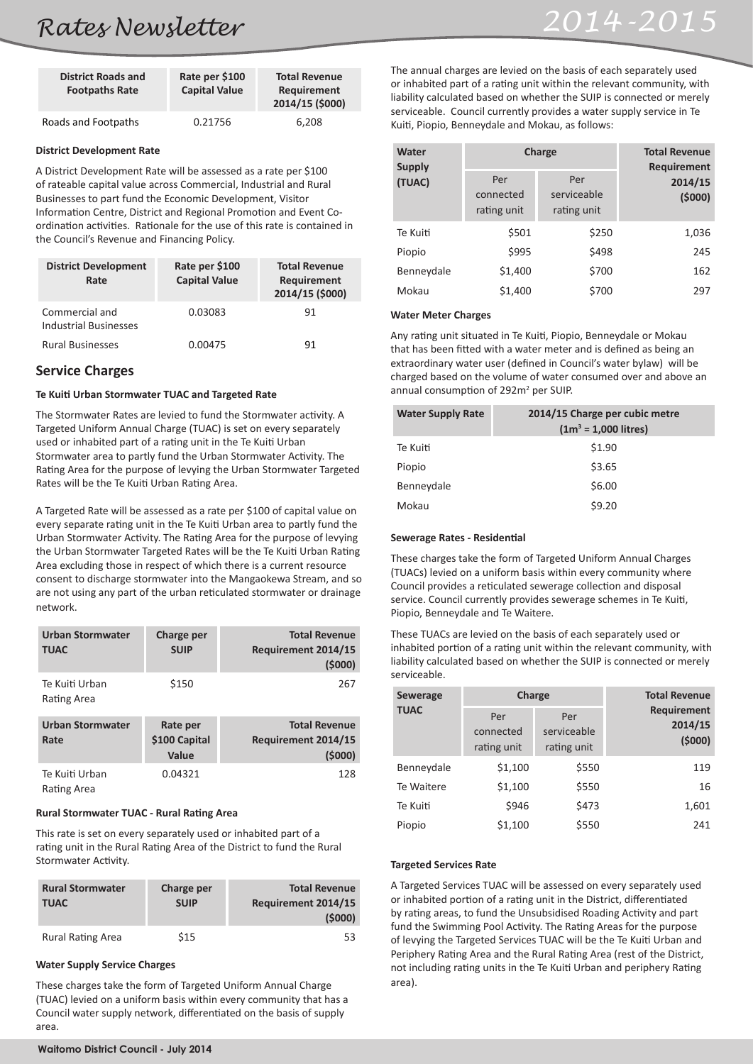# *Rates Newsletter 2014-2015*

| <b>District Roads and</b><br><b>Footpaths Rate</b> | Rate per \$100<br><b>Capital Value</b> | <b>Total Revenue</b><br>Requirement<br>2014/15 (\$000) |
|----------------------------------------------------|----------------------------------------|--------------------------------------------------------|
| Roads and Footpaths                                | 0.21756                                | 6,208                                                  |

#### **District Development Rate**

A District Development Rate will be assessed as a rate per \$100 of rateable capital value across Commercial, Industrial and Rural Businesses to part fund the Economic Development, Visitor Information Centre, District and Regional Promotion and Event Coordination activities. Rationale for the use of this rate is contained in the Council's Revenue and Financing Policy.

| <b>District Development</b><br>Rate            | Rate per \$100<br><b>Capital Value</b> | <b>Total Revenue</b><br>Requirement<br>2014/15 (\$000) |
|------------------------------------------------|----------------------------------------|--------------------------------------------------------|
| Commercial and<br><b>Industrial Businesses</b> | 0.03083                                | 91                                                     |
| <b>Rural Businesses</b>                        | 0.00475                                | 91                                                     |

# **Service Charges**

## **Te Kuiti Urban Stormwater TUAC and Targeted Rate**

The Stormwater Rates are levied to fund the Stormwater activity. A Targeted Uniform Annual Charge (TUAC) is set on every separately used or inhabited part of a rating unit in the Te Kuiti Urban Stormwater area to partly fund the Urban Stormwater Activity. The Rating Area for the purpose of levying the Urban Stormwater Targeted Rates will be the Te Kuiti Urban Rating Area.

A Targeted Rate will be assessed as a rate per \$100 of capital value on every separate rating unit in the Te Kuiti Urban area to partly fund the Urban Stormwater Activity. The Rating Area for the purpose of levying the Urban Stormwater Targeted Rates will be the Te Kuiti Urban Rating Area excluding those in respect of which there is a current resource consent to discharge stormwater into the Mangaokewa Stream, and so are not using any part of the urban reticulated stormwater or drainage network.

| <b>Urban Stormwater</b><br><b>TUAC</b> | Charge per<br><b>SUIP</b>          | <b>Total Revenue</b><br>Requirement 2014/15<br>(5000) |
|----------------------------------------|------------------------------------|-------------------------------------------------------|
| Te Kuiti Urban<br>Rating Area          | \$150                              | 267                                                   |
| <b>Urban Stormwater</b><br>Rate        | Rate per<br>\$100 Capital<br>Value | <b>Total Revenue</b><br>Requirement 2014/15<br>(5000) |
| Te Kuiti Urban<br>Rating Area          | 0.04321                            | 128                                                   |

#### **Rural Stormwater TUAC - Rural Rating Area**

This rate is set on every separately used or inhabited part of a rating unit in the Rural Rating Area of the District to fund the Rural Stormwater Activity.

| <b>Rural Stormwater</b><br><b>TUAC</b> | Charge per<br><b>SUIP</b> | <b>Total Revenue</b><br>Requirement 2014/15<br>(5000) |
|----------------------------------------|---------------------------|-------------------------------------------------------|
| <b>Rural Rating Area</b>               | \$15                      | 53                                                    |

# **Water Supply Service Charges**

These charges take the form of Targeted Uniform Annual Charge (TUAC) levied on a uniform basis within every community that has a Council water supply network, differentiated on the basis of supply area.

The annual charges are levied on the basis of each separately used or inhabited part of a rating unit within the relevant community, with liability calculated based on whether the SUIP is connected or merely serviceable. Council currently provides a water supply service in Te Kuiti, Piopio, Benneydale and Mokau, as follows:

| Water<br><b>Supply</b><br>(TUAC) | Charge<br>Per<br>Per<br>serviceable<br>connected<br>rating unit<br>rating unit |       | <b>Total Revenue</b><br><b>Requirement</b><br>2014/15<br>(5000) |
|----------------------------------|--------------------------------------------------------------------------------|-------|-----------------------------------------------------------------|
| Te Kuiti                         | \$501                                                                          | \$250 | 1,036                                                           |
| Piopio                           | \$995                                                                          | \$498 | 245                                                             |
| Benneydale                       | \$1,400                                                                        | \$700 | 162                                                             |
| Mokau                            | \$1,400                                                                        | \$700 | 297                                                             |

#### **Water Meter Charges**

Any rating unit situated in Te Kuiti, Piopio, Benneydale or Mokau that has been fitted with a water meter and is defined as being an extraordinary water user (defined in Council's water bylaw) will be charged based on the volume of water consumed over and above an annual consumption of 292m<sup>2</sup> per SUIP.

| <b>Water Supply Rate</b> | 2014/15 Charge per cubic metre<br>$(1m^3 = 1,000$ litres) |
|--------------------------|-----------------------------------------------------------|
| Te Kuiti                 | \$1.90                                                    |
| Piopio                   | \$3.65                                                    |
| Benneydale               | \$6.00                                                    |
| Mokau                    | \$9.20                                                    |

### **Sewerage Rates - Residential**

These charges take the form of Targeted Uniform Annual Charges (TUACs) levied on a uniform basis within every community where Council provides a reticulated sewerage collection and disposal service. Council currently provides sewerage schemes in Te Kuiti, Piopio, Benneydale and Te Waitere.

These TUACs are levied on the basis of each separately used or inhabited portion of a rating unit within the relevant community, with liability calculated based on whether the SUIP is connected or merely serviceable.

| Sewerage<br><b>TUAC</b> | Charge<br>Per<br>Per<br>serviceable<br>connected<br>rating unit<br>rating unit |       | <b>Total Revenue</b><br><b>Requirement</b><br>2014/15<br>(5000) |
|-------------------------|--------------------------------------------------------------------------------|-------|-----------------------------------------------------------------|
| Benneydale              | \$1,100                                                                        | \$550 | 119                                                             |
| Te Waitere              | \$1,100                                                                        | \$550 | 16                                                              |
| Te Kuiti                | \$946                                                                          | \$473 | 1,601                                                           |
| Piopio                  | \$1,100                                                                        | \$550 | 241                                                             |

## **Targeted Services Rate**

A Targeted Services TUAC will be assessed on every separately used or inhabited portion of a rating unit in the District, differentiated by rating areas, to fund the Unsubsidised Roading Activity and part fund the Swimming Pool Activity. The Rating Areas for the purpose of levying the Targeted Services TUAC will be the Te Kuiti Urban and Periphery Rating Area and the Rural Rating Area (rest of the District, not including rating units in the Te Kuiti Urban and periphery Rating area).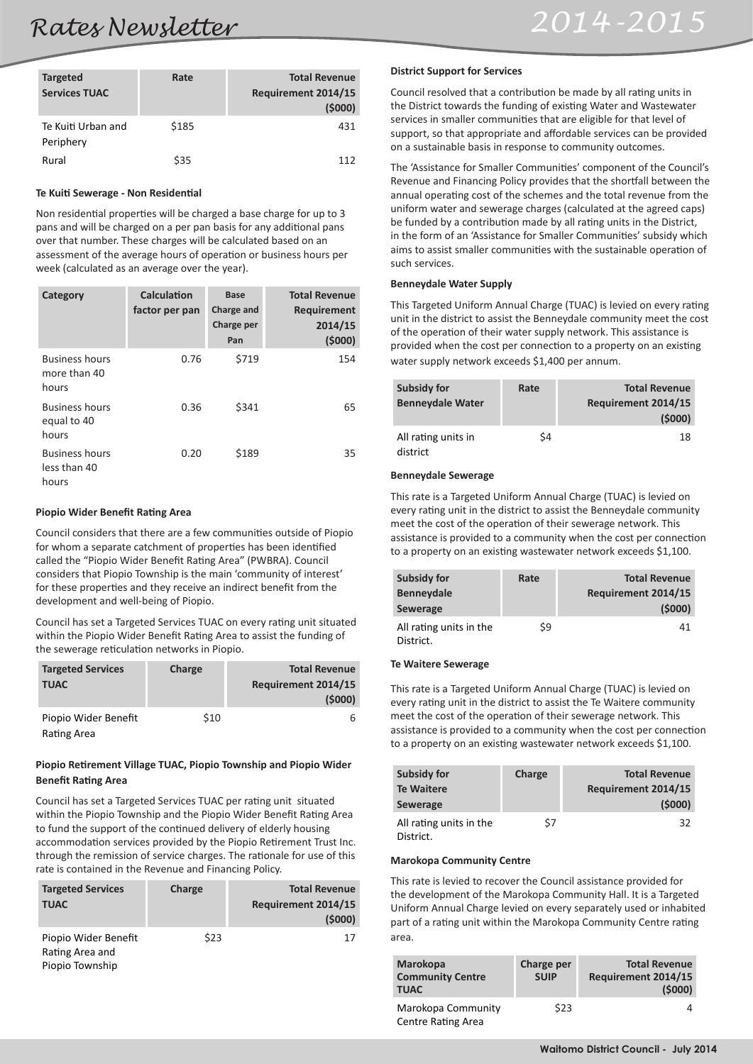| <b>Targeted</b><br><b>Services TUAC</b> | Rate  | <b>Total Revenue</b><br>Requirement 2014/15<br>(5000) |
|-----------------------------------------|-------|-------------------------------------------------------|
| Te Kuiti Urban and<br>Periphery         | \$185 | 431                                                   |
| Rural                                   | \$35  | 112                                                   |

#### **Te Kuiti Sewerage - Non Residential**

Non residential properties will be charged a base charge for up to 3 pans and will be charged on a per pan basis for any additional pans over that number. These charges will be calculated based on an assessment of the average hours of operation or business hours per week (calculated as an average over the year).

| Category                                       | Calculation<br>factor per pan | <b>Base</b><br>Charge and<br>Charge per<br>Pan | <b>Total Revenue</b><br>Requirement<br>2014/15<br>(5000) |
|------------------------------------------------|-------------------------------|------------------------------------------------|----------------------------------------------------------|
| <b>Business hours</b><br>more than 40<br>hours | 0.76                          | \$719                                          | 154                                                      |
| <b>Business hours</b><br>equal to 40<br>hours  | 0.36                          | \$341                                          | 65                                                       |
| <b>Business hours</b><br>less than 40<br>hours | 0.20                          | \$189                                          | 35                                                       |

#### **Piopio Wider Benefit Rating Area**

Council considers that there are a few communities outside of Piopio for whom a separate catchment of properties has been identified called the "Piopio Wider Benefit Rating Area" (PWBRA). Council considers that Piopio Township is the main 'community of interest' for these properties and they receive an indirect benefit from the development and well-being of Piopio.

Council has set a Targeted Services TUAC on every rating unit situated within the Piopio Wider Benefit Rating Area to assist the funding of the sewerage reticulation networks in Piopio.

| <b>Targeted Services</b><br><b>TUAC</b> | Charge | <b>Total Revenue</b><br>Requirement 2014/15<br>(5000) |
|-----------------------------------------|--------|-------------------------------------------------------|
| Piopio Wider Benefit<br>Rating Area     | \$10   | 6                                                     |

#### **Piopio Retirement Village TUAC, Piopio Township and Piopio Wider Benefit Rating Area**

Council has set a Targeted Services TUAC per rating unit situated within the Piopio Township and the Piopio Wider Benefit Rating Area to fund the support of the continued delivery of elderly housing accommodation services provided by the Piopio Retirement Trust Inc. through the remission of service charges. The rationale for use of this rate is contained in the Revenue and Financing Policy.

| <b>Targeted Services</b><br><b>TUAC</b>                    | Charge | <b>Total Revenue</b><br>Requirement 2014/15<br>(5000) |
|------------------------------------------------------------|--------|-------------------------------------------------------|
| Piopio Wider Benefit<br>Rating Area and<br>Piopio Township | \$23   | 17                                                    |

#### **District Support for Services**

Council resolved that a contribution be made by all rating units in the District towards the funding of existing Water and Wastewater services in smaller communities that are eligible for that level of support, so that appropriate and affordable services can be provided on a sustainable basis in response to community outcomes.

The 'Assistance for Smaller Communities' component of the Council's Revenue and Financing Policy provides that the shortfall between the annual operating cost of the schemes and the total revenue from the uniform water and sewerage charges (calculated at the agreed caps) be funded by a contribution made by all rating units in the District, in the form of an 'Assistance for Smaller Communities' subsidy which aims to assist smaller communities with the sustainable operation of such services.

#### **Benneydale Water Supply**

This Targeted Uniform Annual Charge (TUAC) is levied on every rating unit in the district to assist the Benneydale community meet the cost of the operation of their water supply network. This assistance is provided when the cost per connection to a property on an existing water supply network exceeds \$1,400 per annum.

| <b>Subsidy for</b><br><b>Benneydale Water</b> | Rate | <b>Total Revenue</b><br>Requirement 2014/15<br>(5000) |
|-----------------------------------------------|------|-------------------------------------------------------|
| All rating units in<br>district               | Ś4   | 18                                                    |

#### **Benneydale Sewerage**

This rate is a Targeted Uniform Annual Charge (TUAC) is levied on every rating unit in the district to assist the Benneydale community meet the cost of the operation of their sewerage network. This assistance is provided to a community when the cost per connection to a property on an existing wastewater network exceeds \$1,100.

| Subsidy for<br><b>Benneydale</b><br>Sewerage | Rate | <b>Total Revenue</b><br>Requirement 2014/15<br>(5000) |
|----------------------------------------------|------|-------------------------------------------------------|
| All rating units in the<br>District.         | \$9  | 41                                                    |

#### **Te Waitere Sewerage**

This rate is a Targeted Uniform Annual Charge (TUAC) is levied on every rating unit in the district to assist the Te Waitere community meet the cost of the operation of their sewerage network. This assistance is provided to a community when the cost per connection to a property on an existing wastewater network exceeds \$1,100.

| Subsidy for<br><b>Te Waitere</b><br>Sewerage | Charge | <b>Total Revenue</b><br>Requirement 2014/15<br>(5000) |
|----------------------------------------------|--------|-------------------------------------------------------|
| All rating units in the<br>District.         | Ś7     | 32                                                    |

#### **Marokopa Community Centre**

This rate is levied to recover the Council assistance provided for the development of the Marokopa Community Hall. It is a Targeted Uniform Annual Charge levied on every separately used or inhabited part of a rating unit within the Marokopa Community Centre rating area.

| Marokopa<br><b>Community Centre</b><br><b>TUAC</b> | Charge per<br><b>SUIP</b> | <b>Total Revenue</b><br>Requirement 2014/15<br>(5000) |
|----------------------------------------------------|---------------------------|-------------------------------------------------------|
| Marokopa Community<br>Centre Rating Area           | \$23                      |                                                       |